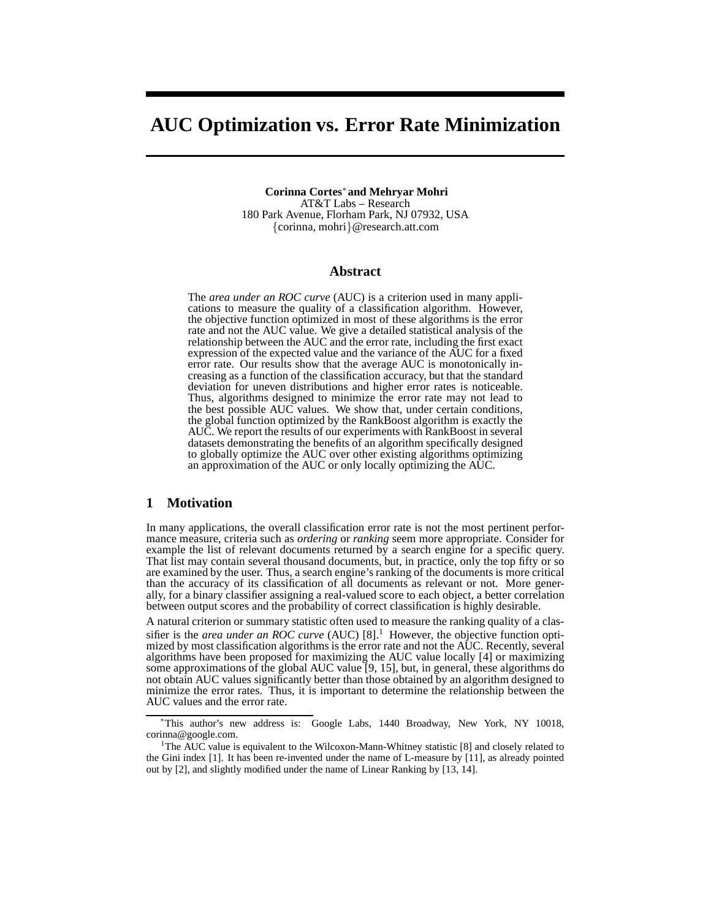# **AUC Optimization vs. Error Rate Minimization**

**Corinna Cortes**<sup>∗</sup>**and Mehryar Mohri** AT&T Labs – Research 180 Park Avenue, Florham Park, NJ 07932, USA {corinna, mohri}@research.att.com

#### **Abstract**

The *area under an ROC curve* (AUC) is a criterion used in many applications to measure the quality of a classification algorithm. However, the objective function optimized in most of these algorithms is the error rate and not the AUC value. We give a detailed statistical analysis of the relationship between the AUC and the error rate, including the first exact expression of the expected value and the variance of the AUC for a fixed error rate. Our results show that the average AUC is monotonically increasing as a function of the classification accuracy, but that the standard deviation for uneven distributions and higher error rates is noticeable. Thus, algorithms designed to minimize the error rate may not lead to the best possible AUC values. We show that, under certain conditions, the global function optimized by the RankBoost algorithm is exactly the AUC. We report the results of our experiments with RankBoost in several datasets demonstrating the benefits of an algorithm specifically designed to globally optimize the AUC over other existing algorithms optimizing an approximation of the AUC or only locally optimizing the AUC.

#### **1 Motivation**

In many applications, the overall classification error rate is not the most pertinent performance measure, criteria such as *ordering* or *ranking* seem more appropriate. Consider for example the list of relevant documents returned by a search engine for a specific query. That list may contain several thousand documents, but, in practice, only the top fifty or so are examined by the user. Thus, a search engine's ranking of the documents is more critical than the accuracy of its classification of all documents as relevant or not. More generally, for a binary classifier assigning a real-valued score to each object, a better correlation between output scores and the probability of correct classification is highly desirable.

A natural criterion or summary statistic often used to measure the ranking quality of a classifier is the *area under an ROC curve* (AUC) [8].<sup>1</sup> However, the objective function optimized by most classification algorithms is the error rate and not the AUC. Recently, several algorithms have been proposed for maximizing the AUC value locally [4] or maximizing some approximations of the global AUC value [9, 15], but, in general, these algorithms do not obtain AUC values significantly better than those obtained by an algorithm designed to minimize the error rates. Thus, it is important to determine the relationship between the AUC values and the error rate.

<sup>∗</sup>This author's new address is: Google Labs, 1440 Broadway, New York, NY 10018, corinna@google.com.

<sup>&</sup>lt;sup>1</sup>The AUC value is equivalent to the Wilcoxon-Mann-Whitney statistic [8] and closely related to the Gini index [1]. It has been re-invented under the name of L-measure by [11], as already pointed out by [2], and slightly modified under the name of Linear Ranking by [13, 14].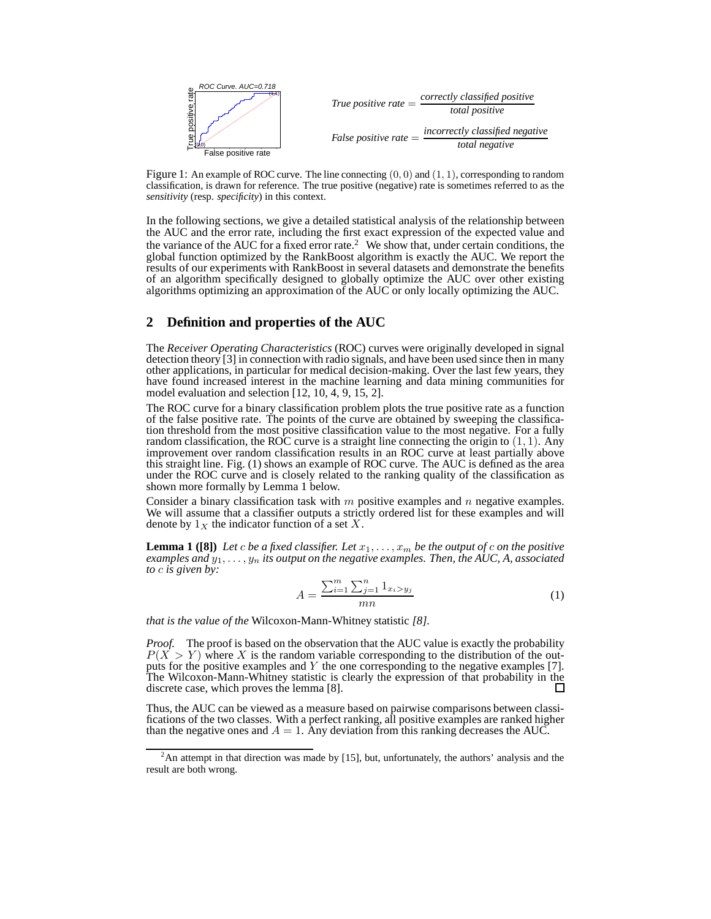

Figure 1: An example of ROC curve. The line connecting  $(0, 0)$  and  $(1, 1)$ , corresponding to random classification, is drawn for reference. The true positive (negative) rate is sometimes referred to as the *sensitivity* (resp. *specificity*) in this context.

In the following sections, we give a detailed statistical analysis of the relationship between the AUC and the error rate, including the first exact expression of the expected value and the variance of the AUC for a fixed error rate.<sup>2</sup> We show that, under certain conditions, the global function optimized by the RankBoost algorithm is exactly the AUC. We report the results of our experiments with RankBoost in several datasets and demonstrate the benefits of an algorithm specifically designed to globally optimize the AUC over other existing algorithms optimizing an approximation of the AUC or only locally optimizing the AUC.

## **2 Definition and properties of the AUC**

The *Receiver Operating Characteristics* (ROC) curves were originally developed in signal detection theory [3] in connection with radio signals, and have been used since then in many other applications, in particular for medical decision-making. Over the last few years, they have found increased interest in the machine learning and data mining communities for model evaluation and selection [12, 10, 4, 9, 15, 2].

The ROC curve for a binary classification problem plots the true positive rate as a function of the false positive rate. The points of the curve are obtained by sweeping the classification threshold from the most positive classification value to the most negative. For a fully random classification, the ROC curve is a straight line connecting the origin to  $(1, 1)$ . Any improvement over random classification results in an ROC curve at least partially above this straight line. Fig. (1) shows an example of ROC curve. The AUC is defined as the area under the ROC curve and is closely related to the ranking quality of the classification as shown more formally by Lemma 1 below.

Consider a binary classification task with  $m$  positive examples and  $n$  negative examples. We will assume that a classifier outputs a strictly ordered list for these examples and will denote by  $1_X$  the indicator function of a set X.

**Lemma 1 ([8])** Let c be a fixed classifier. Let  $x_1, \ldots, x_m$  be the output of c on the positive *examples and*  $y_1, \ldots, y_n$  *its output on the negative examples. Then, the AUC, A, associated to* c *is given by:*

$$
A = \frac{\sum_{i=1}^{m} \sum_{j=1}^{n} 1_{x_i > y_j}}{mn}
$$
 (1)

*that is the value of the* Wilcoxon-Mann-Whitney statistic *[8].*

*Proof.* The proof is based on the observation that the AUC value is exactly the probability  $P(X > Y)$  where X is the random variable corresponding to the distribution of the outputs for the positive examples and  $Y$  the one corresponding to the negative examples [7]. The Wilcoxon-Mann-Whitney statistic is clearly the expression of that probability in the discrete case, which proves the lemma [8]. П

Thus, the AUC can be viewed as a measure based on pairwise comparisons between classifications of the two classes. With a perfect ranking, all positive examples are ranked higher than the negative ones and  $A = 1$ . Any deviation from this ranking decreases the AUC.

 $2^2$ An attempt in that direction was made by [15], but, unfortunately, the authors' analysis and the result are both wrong.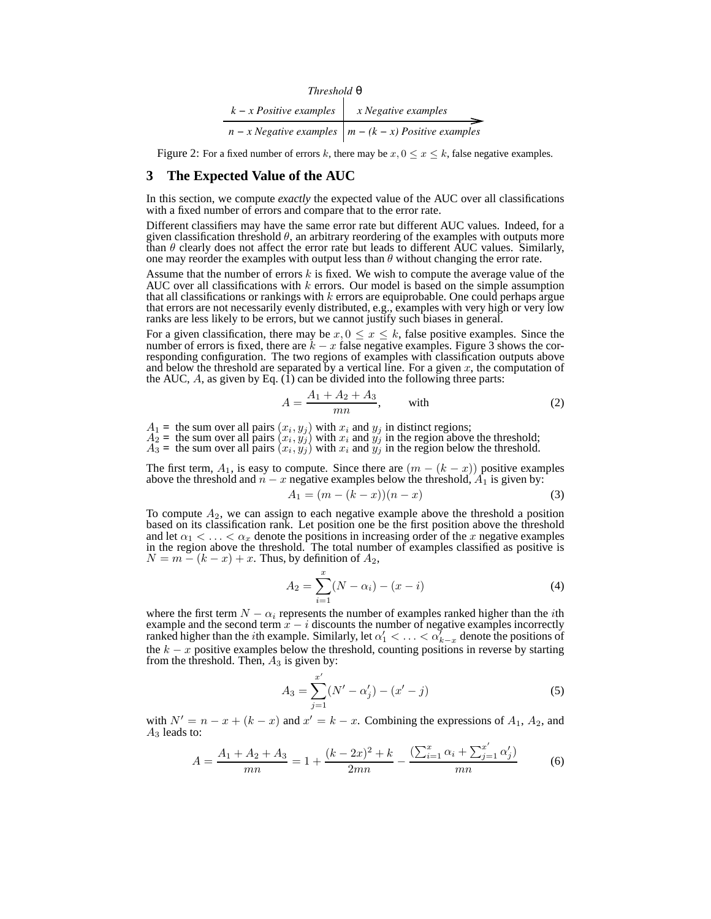| Threshold $\theta$        |                                                                |  |  |  |  |
|---------------------------|----------------------------------------------------------------|--|--|--|--|
| $k - x$ Positive examples | x Negative examples                                            |  |  |  |  |
|                           | $n - x$ Negative examples $\mid m - (k - x)$ Positive examples |  |  |  |  |

Figure 2: For a fixed number of errors k, there may be  $x, 0 \le x \le k$ , false negative examples.

## **3 The Expected Value of the AUC**

In this section, we compute *exactly* the expected value of the AUC over all classifications with a fixed number of errors and compare that to the error rate.

Different classifiers may have the same error rate but different AUC values. Indeed, for a given classification threshold  $\theta$ , an arbitrary reordering of the examples with outputs more than  $\theta$  clearly does not affect the error rate but leads to different AUC values. Similarly, one may reorder the examples with output less than  $\theta$  without changing the error rate.

Assume that the number of errors  $k$  is fixed. We wish to compute the average value of the AUC over all classifications with  $k$  errors. Our model is based on the simple assumption that all classifications or rankings with  $k$  errors are equiprobable. One could perhaps argue that errors are not necessarily evenly distributed, e.g., examples with very high or very low ranks are less likely to be errors, but we cannot justify such biases in general.

For a given classification, there may be  $x, 0 \le x \le k$ , false positive examples. Since the number of errors is fixed, there are  $k - x$  false negative examples. Figure 3 shows the corresponding configuration. The two regions of examples with classification outputs above and below the threshold are separated by a vertical line. For a given  $x$ , the computation of the AUC, A, as given by Eq. (1) can be divided into the following three parts:

$$
A = \frac{A_1 + A_2 + A_3}{mn}, \qquad \text{with} \tag{2}
$$

 $A_1$  = the sum over all pairs  $(x_i, y_j)$  with  $x_i$  and  $y_j$  in distinct regions;

 $A_2$  = the sum over all pairs  $(x_i, y_j)$  with  $x_i$  and  $y_j$  in the region above the threshold;

 $\overline{A_3}$  = the sum over all pairs  $(x_i, y_j)$  with  $x_i$  and  $y_j$  in the region below the threshold.

The first term,  $A_1$ , is easy to compute. Since there are  $(m - (k - x))$  positive examples above the threshold and  $n - x$  negative examples below the threshold,  $A_1$  is given by:

$$
A_1 = (m - (k - x))(n - x)
$$
\n(3)

To compute  $A_2$ , we can assign to each negative example above the threshold a position based on its classification rank. Let position one be the first position above the threshold and let  $\alpha_1 < \ldots < \alpha_x$  denote the positions in increasing order of the x negative examples in the region above the threshold. The total number of examples classified as positive is  $N = m - (k - x) + x$ . Thus, by definition of  $A_2$ ,

$$
A_2 = \sum_{i=1}^{x} (N - \alpha_i) - (x - i)
$$
 (4)

where the first term  $N - \alpha_i$  represents the number of examples ranked higher than the *i*th example and the second term  $\bar{x} - i$  discounts the number of negative examples incorrectly ranked higher than the *i*th example. Similarly, let  $\alpha'_1 < \ldots < \alpha'_{k-x}$  denote the positions of the  $k - x$  positive examples below the threshold, counting positions in reverse by starting from the threshold. Then,  $A_3$  is given by:

$$
A_3 = \sum_{j=1}^{x'} (N' - \alpha'_j) - (x' - j)
$$
 (5)

with  $N' = n - x + (k - x)$  and  $x' = k - x$ . Combining the expressions of  $A_1, A_2$ , and  $A_3$  leads to:

$$
A = \frac{A_1 + A_2 + A_3}{mn} = 1 + \frac{(k - 2x)^2 + k}{2mn} - \frac{\left(\sum_{i=1}^x \alpha_i + \sum_{j=1}^{x'} \alpha'_j\right)}{mn}
$$
(6)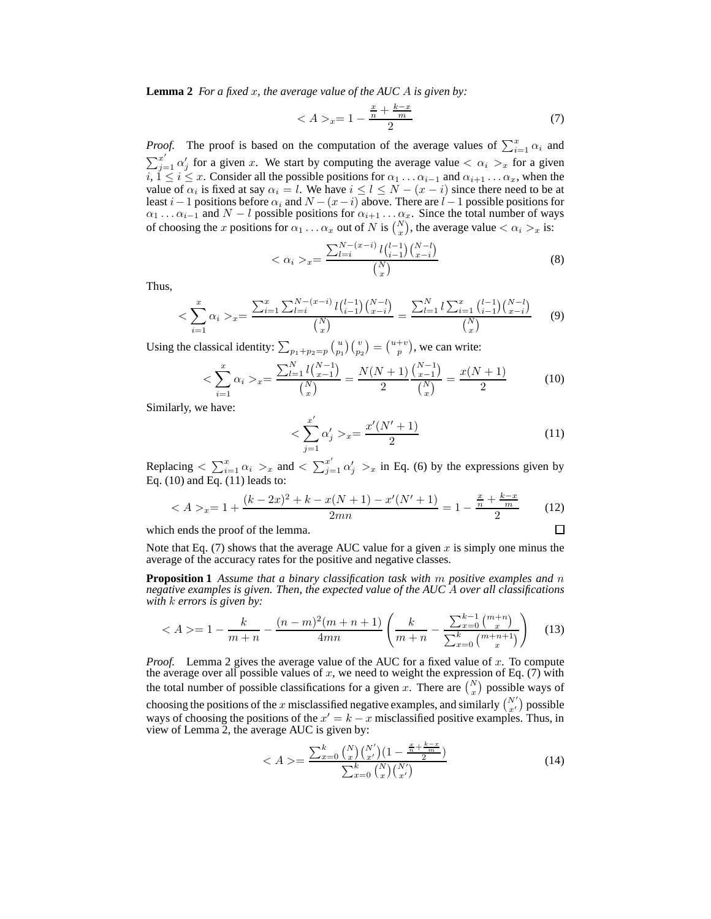**Lemma 2** *For a fixed* x*, the average value of the AUC* A *is given by:*

$$
\langle A \rangle_x = 1 - \frac{\frac{x}{n} + \frac{k - x}{m}}{2} \tag{7}
$$

*Proof.* The proof is based on the computation of the average values of  $\sum_{i=1}^{x} \alpha_i$  and  $\sum_{j=1}^{x'} \alpha'_j$  for a given x. We start by computing the average value  $\langle \alpha_i \rangle_x$  for a given  $i, 1 \le i \le x$ . Consider all the possible positions for  $\alpha_1 \dots \alpha_{i-1}$  and  $\alpha_{i+1} \dots \alpha_x$ , when the value of  $\alpha_i$  is fixed at say  $\alpha_i = l$ . We have  $i \leq l \leq N - (x - i)$  since there need to be at least  $i-1$  positions before  $\alpha_i$  and  $N-(x-i)$  above. There are  $l-1$  possible positions for  $\alpha_1 \ldots \alpha_{i-1}$  and  $N - l$  possible positions for  $\alpha_{i+1} \ldots \alpha_x$ . Since the total number of ways of choosing the x positions for  $\alpha_1 \dots \alpha_x$  out of N is  $\binom{N}{x}$ , the average value  $\langle \alpha_i \rangle_x$  is:

$$
\langle \alpha_i \rangle_x = \frac{\sum_{l=i}^{N-(x-i)} l {l-1 \choose i-1} {N-l \choose x-i}} {N \choose x} \tag{8}
$$

Thus,

$$
\langle \sum_{i=1}^{x} \alpha_i \rangle_x = \frac{\sum_{i=1}^{x} \sum_{l=i}^{N-(x-i)} l \binom{l-1}{i-1} \binom{N-l}{x-i}}{\binom{N}{x}} = \frac{\sum_{l=1}^{N} l \sum_{i=1}^{x} \binom{l-1}{i-1} \binom{N-l}{x-i}}{\binom{N}{x}}
$$
(9)

Using the classical identity:  $\sum_{p_1+p_2=p} {u \choose p_1} {v \choose p_2} = {u+v \choose p}$ , we can write:

$$
\langle \sum_{i=1}^{x} \alpha_i \rangle_x = \frac{\sum_{l=1}^{N} l {N-1 \choose x-1}}{{N \choose x}} = \frac{N(N+1)}{2} \frac{{N-1 \choose x-1}}{{N \choose x}} = \frac{x(N+1)}{2} \tag{10}
$$

Similarly, we have:

$$
\langle \sum_{j=1}^{x'} \alpha'_j \rangle_{x} = \frac{x'(N'+1)}{2} \tag{11}
$$

 $\Box$ 

Replacing  $\langle \sum_{i=1}^x \alpha_i \rangle_x$  and  $\langle \sum_{j=1}^{x'} \alpha'_j \rangle_x$  in Eq. (6) by the expressions given by Eq. (10) and Eq. (11) leads to:

$$
\langle A \rangle_x = 1 + \frac{(k - 2x)^2 + k - x(N + 1) - x'(N' + 1)}{2mn} = 1 - \frac{\frac{x}{n} + \frac{k - x}{m}}{2} \tag{12}
$$

which ends the proof of the lemma.

Note that Eq. (7) shows that the average AUC value for a given  $x$  is simply one minus the average of the accuracy rates for the positive and negative classes.

**Proposition 1** *Assume that a binary classification task with* m *positive examples and* n *negative examples is given. Then, the expected value of the AUC* A *over all classifications with* k *errors is given by:*

$$
\langle A \rangle = 1 - \frac{k}{m+n} - \frac{(n-m)^2(m+n+1)}{4mn} \left( \frac{k}{m+n} - \frac{\sum_{x=0}^{k-1} \binom{m+n}{x}}{\sum_{x=0}^{k} \binom{m+n+1}{x}} \right) \tag{13}
$$

*Proof.* Lemma 2 gives the average value of the AUC for a fixed value of x. To compute the average over all possible values of  $x$ , we need to weight the expression of Eq. (7) with the total number of possible classifications for a given x. There are  $\binom{N}{x}$  possible ways of choosing the positions of the x misclassified negative examples, and similarly  $\binom{N'}{x'}$  possible ways of choosing the positions of the  $x' = k - x$  misclassified positive examples. Thus, in view of Lemma 2, the average AUC is given by:

$$
\langle A \rangle = \frac{\sum_{x=0}^{k} {N \choose x} {N' \choose x'} (1 - \frac{x + k - x}{2})}{\sum_{x=0}^{k} {N \choose x} {N' \choose x'}} \tag{14}
$$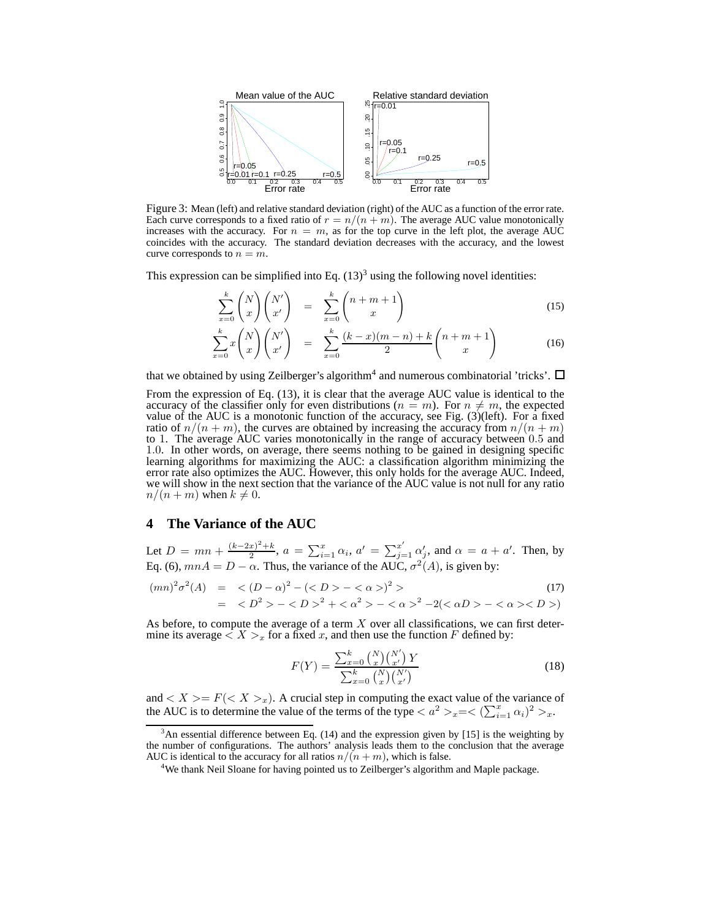

Figure 3: Mean (left) and relative standard deviation (right) of the AUC as a function of the error rate. Each curve corresponds to a fixed ratio of  $r = n/(n + m)$ . The average AUC value monotonically increases with the accuracy. For  $n = m$ , as for the top curve in the left plot, the average AUC coincides with the accuracy. The standard deviation decreases with the accuracy, and the lowest curve corresponds to  $n = m$ .

This expression can be simplified into Eq.  $(13)^3$  using the following novel identities:

$$
\sum_{x=0}^{k} \binom{N}{x} \binom{N'}{x'} = \sum_{x=0}^{k} \binom{n+m+1}{x}
$$
\n(15)

$$
\sum_{x=0}^{k} x \binom{N}{x} \binom{N'}{x'} = \sum_{x=0}^{k} \frac{(k-x)(m-n)+k}{2} \binom{n+m+1}{x}
$$
(16)

that we obtained by using Zeilberger's algorithm<sup>4</sup> and numerous combinatorial 'tricks'.

From the expression of Eq. (13), it is clear that the average AUC value is identical to the accuracy of the classifier only for even distributions ( $n = m$ ). For  $n \neq m$ , the expected value of the AUC is a monotonic function of the accuracy, see Fig. (3)(left). For a fixed ratio of  $n/(n+m)$ , the curves are obtained by increasing the accuracy from  $n/(n+m)$ to 1. The average AUC varies monotonically in the range of accuracy between 0.5 and 1.0. In other words, on average, there seems nothing to be gained in designing specific learning algorithms for maximizing the AUC: a classification algorithm minimizing the error rate also optimizes the AUC. However, this only holds for the average AUC. Indeed, we will show in the next section that the variance of the AUC value is not null for any ratio  $n/(n + m)$  when  $k \neq 0$ .

## **4 The Variance of the AUC**

Let  $D = mn + \frac{(k-2x)^2 + k}{2}$  $\frac{x^{2}+k}{2}$ ,  $a = \sum_{i=1}^{x} \alpha_i$ ,  $a' = \sum_{j=1}^{x'} \alpha'_j$ , and  $\alpha = a + a'$ . Then, by Eq. (6),  $mnA = D - \alpha$ . Thus, the variance of the AUC,  $\sigma^2(A)$ , is given by:

$$
(mn)^{2} \sigma^{2}(A) = \langle (D - \alpha)^{2} - (\langle D \rangle - \langle \alpha \rangle)^{2} \rangle
$$
  
=  $\langle D^{2} \rangle - \langle D \rangle^{2} + \langle \alpha^{2} \rangle - \langle \alpha \rangle^{2} - 2(\langle \alpha D \rangle - \langle \alpha \rangle \langle D \rangle)$  (17)

As before, to compute the average of a term  $X$  over all classifications, we can first determine its average  $\langle X \rangle_x$  for a fixed x, and then use the function F defined by:

$$
F(Y) = \frac{\sum_{x=0}^{k} {N \choose x} {N' \choose x'}}{\sum_{x=0}^{k} {N \choose x} {N' \choose x'}} \tag{18}
$$

and  $\langle X \rangle = F(\langle X \rangle_x)$ . A crucial step in computing the exact value of the variance of the AUC is to determine the value of the terms of the type  $\langle a^2 \rangle_{x} = \langle (\sum_{i=1}^x \alpha_i)^2 \rangle_{x}$ .

 $3$ An essential difference between Eq. (14) and the expression given by [15] is the weighting by the number of configurations. The authors' analysis leads them to the conclusion that the average AUC is identical to the accuracy for all ratios  $n/(n + m)$ , which is false.

<sup>&</sup>lt;sup>4</sup>We thank Neil Sloane for having pointed us to Zeilberger's algorithm and Maple package.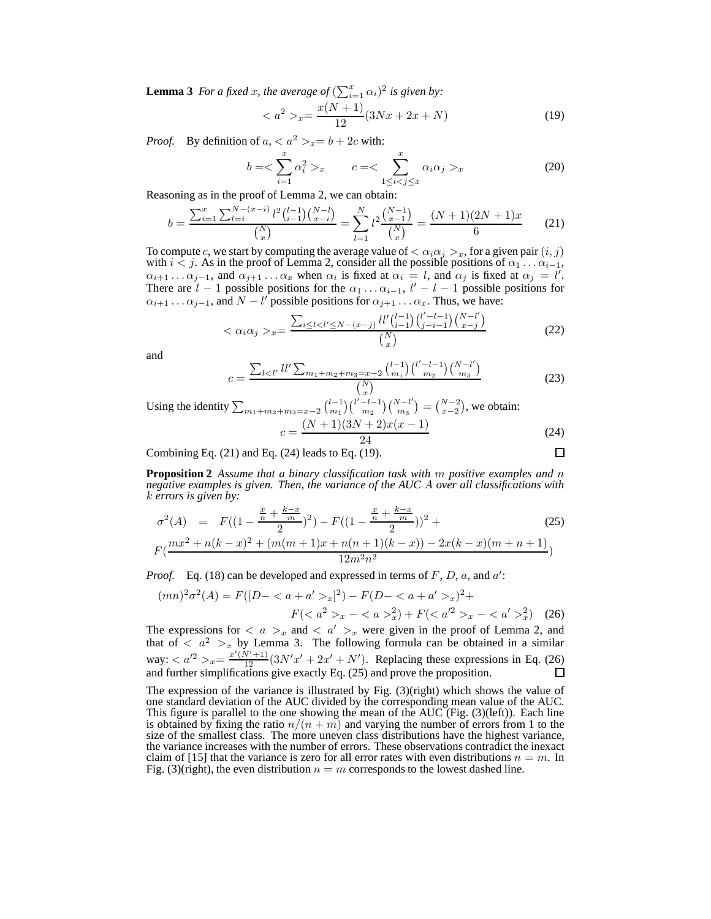**Lemma 3** *For a fixed x, the average of*  $(\sum_{i=1}^{x} \alpha_i)^2$  *is given by:* 

$$
\langle a^2 \rangle_x = \frac{x(N+1)}{12} (3Nx + 2x + N) \tag{19}
$$

*Proof.* By definition of  $a,  $a^2 >_x = b + 2c$  with:$ 

$$
b = \sum_{i=1}^{x} \alpha_i^2 >_{x} \qquad c = \sum_{1 \le i < j \le x}^{x} \alpha_i \alpha_j >_{x} \tag{20}
$$

Reasoning as in the proof of Lemma 2, we can obtain:

$$
b = \frac{\sum_{i=1}^{x} \sum_{l=i}^{N-(x-i)} l^2 {l-1 \choose i-1} {N-l \choose x-i}}{{N \choose x}} = \sum_{l=1}^{N} l^2 \frac{{N-1 \choose x-1}}{{N \choose x}} = \frac{(N+1)(2N+1)x}{6}
$$
(21)

To compute c, we start by computing the average value of  $\langle \alpha_i \alpha_j \rangle_x$ , for a given pair  $(i, j)$ with  $i < j$ . As in the proof of Lemma 2, consider all the possible positions of  $\alpha_1 \dots \alpha_{i-1}$ ,  $\alpha_{i+1} \dots \alpha_{j-1}$ , and  $\alpha_{j+1} \dots \alpha_x$  when  $\alpha_i$  is fixed at  $\alpha_i = l$ , and  $\alpha_j$  is fixed at  $\alpha_j = l'$ . There are  $l-1$  possible positions for the  $\alpha_1 \dots \alpha_{i-1}$ ,  $l'-l-1$  possible positions for  $\alpha_{i+1} \dots \alpha_{j-1}$ , and  $N - l'$  possible positions for  $\alpha_{j+1} \dots \alpha_x$ . Thus, we have:

$$
\langle \alpha_i \alpha_j \rangle_{x} = \frac{\sum_{i \le l < l' \le N - (x - j)} l l' \binom{l - 1}{i - 1} \binom{l' - l - 1}{j - i - 1} \binom{N - l'}{x - j}}{\binom{N}{x}}
$$
\n(22)

and

$$
c = \frac{\sum_{l < l'} l l' \sum_{m_1 + m_2 + m_3 = x - 2} \binom{l-1}{m_1} \binom{l'-l-1}{m_2} \binom{N-l'}{m_3}}{\binom{N}{x}} \tag{23}
$$

Using the identity  $\sum_{m_1+m_2+m_3=x-2} {l-1 \choose m_1}$  $\binom{l-1}{m_1}\binom{l'-l-1}{m_2}$  $\binom{l-1}{m_2}$   $\binom{N-l'}{m_3}$  $\binom{N-l'}{m_3} = \binom{N-2}{x-2}$ , we obtain:

$$
c = \frac{(N+1)(3N+2)x(x-1)}{24}
$$
 (24)  
(24) leads to Eq. (19).

Combining Eq. (21) and Eq. (24) leads to Eq. (19).

**Proposition 2** *Assume that a binary classification task with* m *positive examples and* n *negative examples is given. Then, the variance of the AUC* A *over all classifications with* k *errors is given by:*

$$
\sigma^{2}(A) = F((1 - \frac{\frac{x}{n} + \frac{k-x}{m}}{2})^{2}) - F((1 - \frac{\frac{x}{n} + \frac{k-x}{m}}{2}))^{2} +
$$
  
\n
$$
F(\frac{mx^{2} + n(k-x)^{2} + (m(m+1)x + n(n+1)(k-x)) - 2x(k-x)(m+n+1)}{10^{-2} - 3}
$$
\n(25)

 $12m^2n^2$ 

*Proof.* Eq. (18) can be developed and expressed in terms of  $F$ ,  $D$ ,  $a$ , and  $a'$ :

$$
(mn)^{2} \sigma^{2}(A) = F([D - \langle a + a' >_{x}]^{2}) - F(D - \langle a + a' >_{x} \rangle^{2} + F(\langle a^{2} >_{x} - \langle a >_{x}^{2} \rangle) + F(\langle a^{2} >_{x} - \langle a' >_{x}^{2} \rangle))
$$
(26)

The expressions for  $\langle a \rangle_x$  and  $\langle a' \rangle_x$  were given in the proof of Lemma 2, and that of  $\langle a^2 \rangle_x$  by Lemma 3. The following formula can be obtained in a similar way:  $\langle a'^2 \rangle_x = \frac{x'(N'+1)}{12} (3N'x' + 2x' + N')$ . Replacing these expressions in Eq. (26) and further simplifications give exactly Eq. (25) and prove the proposition.

The expression of the variance is illustrated by Fig. (3)(right) which shows the value of one standard deviation of the AUC divided by the corresponding mean value of the AUC. This figure is parallel to the one showing the mean of the  $AUC$  (Fig. (3)(left)). Each line is obtained by fixing the ratio  $n/(n + m)$  and varying the number of errors from 1 to the size of the smallest class. The more uneven class distributions have the highest variance, the variance increases with the number of errors. These observations contradict the inexact claim of [15] that the variance is zero for all error rates with even distributions  $n = m$ . In Fig. (3)(right), the even distribution  $n = m$  corresponds to the lowest dashed line.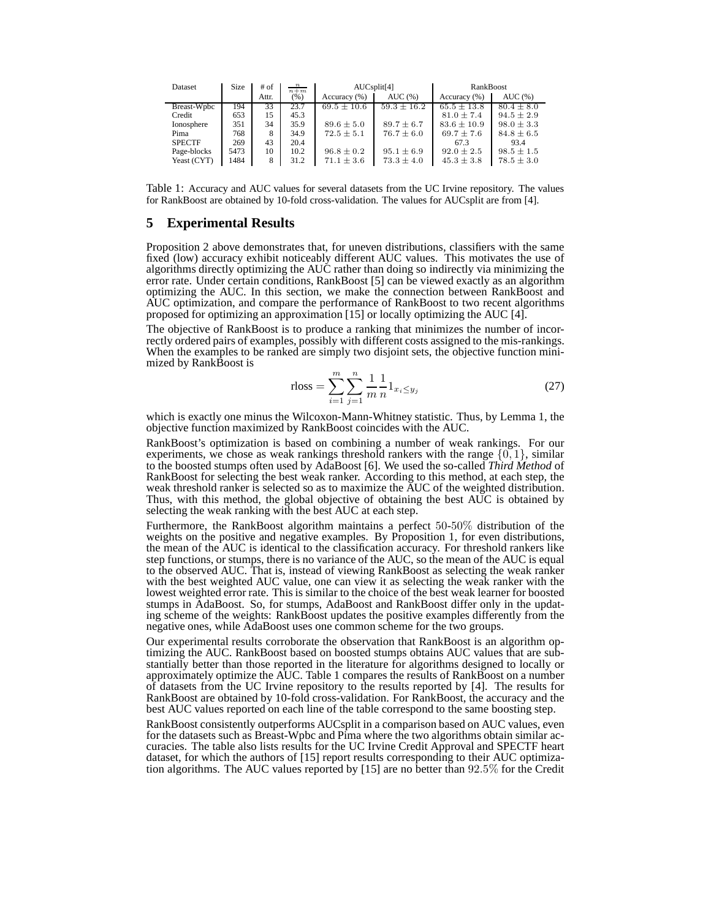| Dataset       | Size | # of  | $\frac{n}{n+m}$ | AUCsplit[4]     |                 | RankBoost       |                |
|---------------|------|-------|-----------------|-----------------|-----------------|-----------------|----------------|
|               |      | Attr. | (% )            | Accuracy (%)    | AUC(%)          | Accuracy (%)    | AUC(%)         |
| Breast-Wpbc   | 194  | 33    | 23.7            | $69.5 \pm 10.6$ | $59.3 \pm 16.2$ | $65.5 \pm 13.8$ | $80.4 \pm 8.0$ |
| Credit        | 653  | 15    | 45.3            |                 |                 | $81.0 \pm 7.4$  | $94.5 \pm 2.9$ |
| Ionosphere    | 351  | 34    | 35.9            | $89.6 \pm 5.0$  | $89.7 \pm 6.7$  | $83.6 \pm 10.9$ | $98.0 \pm 3.3$ |
| Pima          | 768  | 8     | 34.9            | $72.5 \pm 5.1$  | $76.7 \pm 6.0$  | $69.7 \pm 7.6$  | $84.8 \pm 6.5$ |
| <b>SPECTF</b> | 269  | 43    | 20.4            |                 |                 | 67.3            | 93.4           |
| Page-blocks   | 5473 | 10    | 10.2            | $96.8 \pm 0.2$  | $95.1 \pm 6.9$  | $92.0 \pm 2.5$  | $98.5 \pm 1.5$ |
| Yeast (CYT)   | 1484 | 8     | 31.2            | $71.1 \pm 3.6$  | $73.3 \pm 4.0$  | $45.3 \pm 3.8$  | $78.5 \pm 3.0$ |

Table 1: Accuracy and AUC values for several datasets from the UC Irvine repository. The values for RankBoost are obtained by 10-fold cross-validation. The values for AUCsplit are from [4].

#### **5 Experimental Results**

Proposition 2 above demonstrates that, for uneven distributions, classifiers with the same fixed (low) accuracy exhibit noticeably different AUC values. This motivates the use of algorithms directly optimizing the AUC rather than doing so indirectly via minimizing the error rate. Under certain conditions, RankBoost [5] can be viewed exactly as an algorithm optimizing the AUC. In this section, we make the connection between RankBoost and AUC optimization, and compare the performance of RankBoost to two recent algorithms proposed for optimizing an approximation [15] or locally optimizing the AUC [4].

The objective of RankBoost is to produce a ranking that minimizes the number of incorrectly ordered pairs of examples, possibly with different costs assigned to the mis-rankings. When the examples to be ranked are simply two disjoint sets, the objective function minimized by RankBoost is

rloss = 
$$
\sum_{i=1}^{m} \sum_{j=1}^{n} \frac{1}{m} \frac{1}{n} 1_{x_i \le y_j}
$$
 (27)

which is exactly one minus the Wilcoxon-Mann-Whitney statistic. Thus, by Lemma 1, the objective function maximized by RankBoost coincides with the AUC.

RankBoost's optimization is based on combining a number of weak rankings. For our experiments, we chose as weak rankings threshold rankers with the range  $\{0, 1\}$ , similar to the boosted stumps often used by AdaBoost [6]. We used the so-called *Third Method* of RankBoost for selecting the best weak ranker. According to this method, at each step, the weak threshold ranker is selected so as to maximize the AUC of the weighted distribution. Thus, with this method, the global objective of obtaining the best AUC is obtained by selecting the weak ranking with the best AUC at each step.

Furthermore, the RankBoost algorithm maintains a perfect 50-50% distribution of the weights on the positive and negative examples. By Proposition 1, for even distributions, the mean of the AUC is identical to the classification accuracy. For threshold rankers like step functions, or stumps, there is no variance of the AUC, so the mean of the AUC is equal to the observed AUC. That is, instead of viewing RankBoost as selecting the weak ranker with the best weighted AUC value, one can view it as selecting the weak ranker with the lowest weighted error rate. This is similar to the choice of the best weak learner for boosted stumps in AdaBoost. So, for stumps, AdaBoost and RankBoost differ only in the updating scheme of the weights: RankBoost updates the positive examples differently from the negative ones, while AdaBoost uses one common scheme for the two groups.

Our experimental results corroborate the observation that RankBoost is an algorithm optimizing the AUC. RankBoost based on boosted stumps obtains AUC values that are substantially better than those reported in the literature for algorithms designed to locally or approximately optimize the AUC. Table 1 compares the results of RankBoost on a number of datasets from the UC Irvine repository to the results reported by [4]. The results for RankBoost are obtained by 10-fold cross-validation. For RankBoost, the accuracy and the best AUC values reported on each line of the table correspond to the same boosting step.

RankBoost consistently outperforms AUCsplit in a comparison based on AUC values, even for the datasets such as Breast-Wpbc and Pima where the two algorithms obtain similar accuracies. The table also lists results for the UC Irvine Credit Approval and SPECTF heart dataset, for which the authors of [15] report results corresponding to their AUC optimization algorithms. The AUC values reported by [15] are no better than 92.5% for the Credit